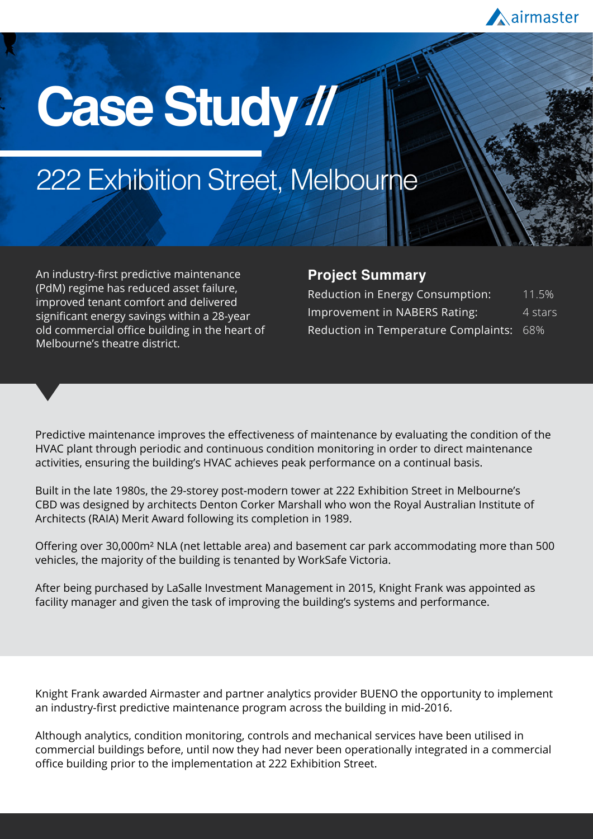

# **Case Study //**

## 222 Exhibition Street, Melbourne

An industry-first predictive maintenance (PdM) regime has reduced asset failure, improved tenant comfort and delivered significant energy savings within a 28-year old commercial office building in the heart of Melbourne's theatre district.

#### **Project Summary**

| Reduction in Energy Consumption:         | 11.5%   |
|------------------------------------------|---------|
| Improvement in NABERS Rating:            | 4 stars |
| Reduction in Temperature Complaints: 68% |         |

Predictive maintenance improves the effectiveness of maintenance by evaluating the condition of the HVAC plant through periodic and continuous condition monitoring in order to direct maintenance activities, ensuring the building's HVAC achieves peak performance on a continual basis.

Built in the late 1980s, the 29-storey post-modern tower at 222 Exhibition Street in Melbourne's CBD was designed by architects Denton Corker Marshall who won the Royal Australian Institute of Architects (RAIA) Merit Award following its completion in 1989.

Offering over 30,000m² NLA (net lettable area) and basement car park accommodating more than 500 vehicles, the majority of the building is tenanted by WorkSafe Victoria.

After being purchased by LaSalle Investment Management in 2015, Knight Frank was appointed as facility manager and given the task of improving the building's systems and performance.

Knight Frank awarded Airmaster and partner analytics provider BUENO the opportunity to implement an industry-first predictive maintenance program across the building in mid-2016.

Although analytics, condition monitoring, controls and mechanical services have been utilised in commercial buildings before, until now they had never been operationally integrated in a commercial office building prior to the implementation at 222 Exhibition Street.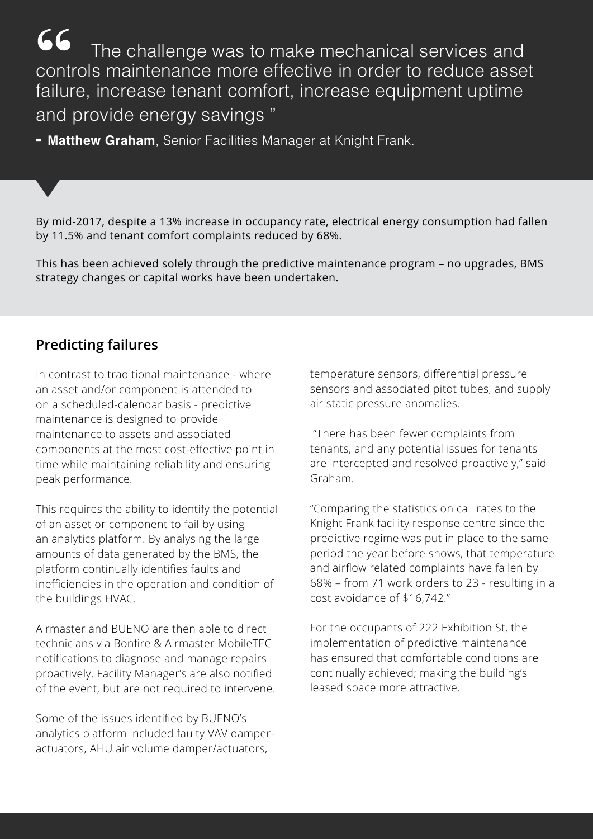The challenge was to make mechanical services and controls maintenance more effective in order to reduce asset failure, increase tenant comfort, increase equipment uptime and provide energy savings "

**- Matthew Graham**, Senior Facilities Manager at Knight Frank.

By mid-2017, despite a 13% increase in occupancy rate, electrical energy consumption had fallen by 11.5% and tenant comfort complaints reduced by 68%.

This has been achieved solely through the predictive maintenance program – no upgrades, BMS strategy changes or capital works have been undertaken.

#### **Predicting failures**

In contrast to traditional maintenance - where an asset and/or component is attended to on a scheduled-calendar basis - predictive maintenance is designed to provide maintenance to assets and associated components at the most cost-effective point in time while maintaining reliability and ensuring peak performance.

This requires the ability to identify the potential of an asset or component to fail by using an analytics platform. By analysing the large amounts of data generated by the BMS, the platform continually identifies faults and inefficiencies in the operation and condition of the buildings HVAC.

Airmaster and BUENO are then able to direct technicians via Bonfire & Airmaster MobileTEC notifications to diagnose and manage repairs proactively. Facility Manager's are also notified of the event, but are not required to intervene.

Some of the issues identified by BUENO's analytics platform included faulty VAV damperactuators, AHU air volume damper/actuators,

temperature sensors, differential pressure sensors and associated pitot tubes, and supply air static pressure anomalies.

 "There has been fewer complaints from tenants, and any potential issues for tenants are intercepted and resolved proactively," said Graham.

"Comparing the statistics on call rates to the Knight Frank facility response centre since the predictive regime was put in place to the same period the year before shows, that temperature and airflow related complaints have fallen by 68% – from 71 work orders to 23 - resulting in a cost avoidance of \$16,742."

For the occupants of 222 Exhibition St, the implementation of predictive maintenance has ensured that comfortable conditions are continually achieved; making the building's leased space more attractive.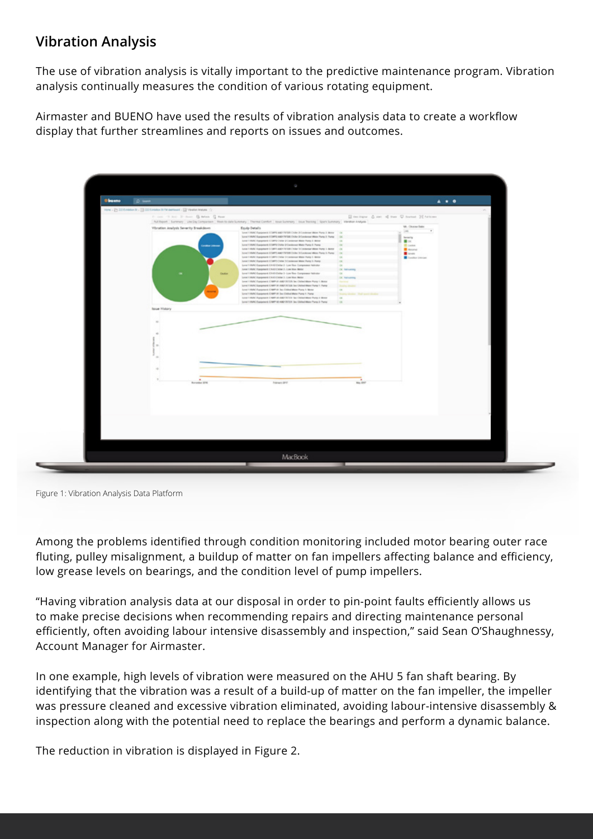#### **Vibration Analysis**

The use of vibration analysis is vitally important to the predictive maintenance program. Vibration analysis continually measures the condition of various rotating equipment.

Airmaster and BUENO have used the results of vibration analysis data to create a workflow display that further streamlines and reports on issues and outcomes.

| <b>Obseno</b> | D was                                                                 |                                                                                                                                                |                                 | $A$ $A$ $B$                                  |
|---------------|-----------------------------------------------------------------------|------------------------------------------------------------------------------------------------------------------------------------------------|---------------------------------|----------------------------------------------|
|               | How - 25 22 Embleck - 33 22 Embles 8/76 defeat - 53 Ventor Hotels - 0 |                                                                                                                                                |                                 |                                              |
|               | From 19 hot 31-lines 15 heles 12 hour.                                |                                                                                                                                                |                                 | El test bane & set of the U formet 22 hottom |
|               |                                                                       | Autilityport   Summary   Like Day Companion   Hisek to date Summary   Therma Combort   Illinois/Immary   Illinois Summary   Vibration Analysis |                                 |                                              |
|               | Vibration Analysis Severity Breakdown                                 | Equip Details                                                                                                                                  |                                 | VA - Channel Bater                           |
|               |                                                                       | Level 1 HWK Response CORPO AND TOTAL Crobe ECondense Water Purg 3 Motor (2)                                                                    |                                 | 198.                                         |
|               |                                                                       | Louis 1969 Chargenet CORTLAND TO SECOND ECONOMIC Mate Pump 3 Party  (3)                                                                        |                                 | Sewing                                       |
|               |                                                                       | Lend 1 HWAT Hypgeneric COMPO Creter (in) professor Water Plump 3, Monor<br>Level FIRAC Exponent: CORPO Date: ECondenser Water Pump 3: Pamp     |                                 | $\blacksquare$ DK                            |
|               | -                                                                     | Level 1 MW, Topophere CORPO AND THORE (NOw 3/Condense West Pump 3, Better                                                                      |                                 | <b>IE</b> DARAY<br><b>B</b> House            |
|               |                                                                       | Load 1994 Essiperant COMP) AND THTER Date: In Loadstee West Pures 1- Pures                                                                     |                                 | <b>B</b> test                                |
|               |                                                                       | Lyne 1 HVAC Equipment: CORPO Clebe Scondense Water Pump 3. Below<br>Loud 13600 Equipment EOBP3 (take 3 Condense West Puny 3 Puny               |                                 | Condition (Interiors)                        |
|               |                                                                       | Lend 1 HWN Equipment: CHISCOMer 2 - Los Tos Compressor Netrotor                                                                                |                                 |                                              |
|               |                                                                       | Level 1 High: Respirent: CRASTCROW 2 - Low line: Motor                                                                                         | OK Tell kalled                  |                                              |
|               | Castles                                                               | Lovel 1 HATC Comprent ES-85 Clubbe 3 - Low Stee Compressor Nelsator<br>Lend EMAN Equipment CAAS Cadar 3 - Los Hos Motor                        | $\sim$<br><b>CK Tul Long</b>    |                                              |
|               |                                                                       | Level 1 HWC Dampment, CAMP-At AMETRITISh Tex Chilectifican Pursy 1, Mone-                                                                      | <b>Service</b>                  |                                              |
|               |                                                                       | Long 1959 (Spagners Craft of Alternation by University) Pump 1, Party                                                                          | <b>Station</b>                  |                                              |
|               |                                                                       | Love 1 HWA Parament: CAMP III Tex Chiled Mate Purg 1. Motor<br>Level 1 HMC European E-1887-III See Chilea Water Pump 1. Pump                   | $\alpha$<br><b>The Contract</b> |                                              |
|               |                                                                       | Level 1 MWC Payapone CAMP of AMERICAN Sectional Manual Pump in Monte                                                                           | $\alpha$                        |                                              |
|               |                                                                       | Lond 1 HWC Equipment: CAMP OE AMERITOR Box Clubschillator Pump & Parror                                                                        | $\sim$                          |                                              |
|               | <b>laue History</b>                                                   |                                                                                                                                                |                                 |                                              |
|               | $\sim$<br><b>Royale 276</b>                                           | Names (IPS)                                                                                                                                    | May 2017                        |                                              |
|               |                                                                       |                                                                                                                                                |                                 |                                              |

Figure 1: Vibration Analysis Data Platform

Among the problems identified through condition monitoring included motor bearing outer race fluting, pulley misalignment, a buildup of matter on fan impellers affecting balance and efficiency, low grease levels on bearings, and the condition level of pump impellers.

"Having vibration analysis data at our disposal in order to pin-point faults efficiently allows us to make precise decisions when recommending repairs and directing maintenance personal efficiently, often avoiding labour intensive disassembly and inspection," said Sean O'Shaughnessy, Account Manager for Airmaster.

In one example, high levels of vibration were measured on the AHU 5 fan shaft bearing. By identifying that the vibration was a result of a build-up of matter on the fan impeller, the impeller was pressure cleaned and excessive vibration eliminated, avoiding labour-intensive disassembly & inspection along with the potential need to replace the bearings and perform a dynamic balance.

The reduction in vibration is displayed in Figure 2.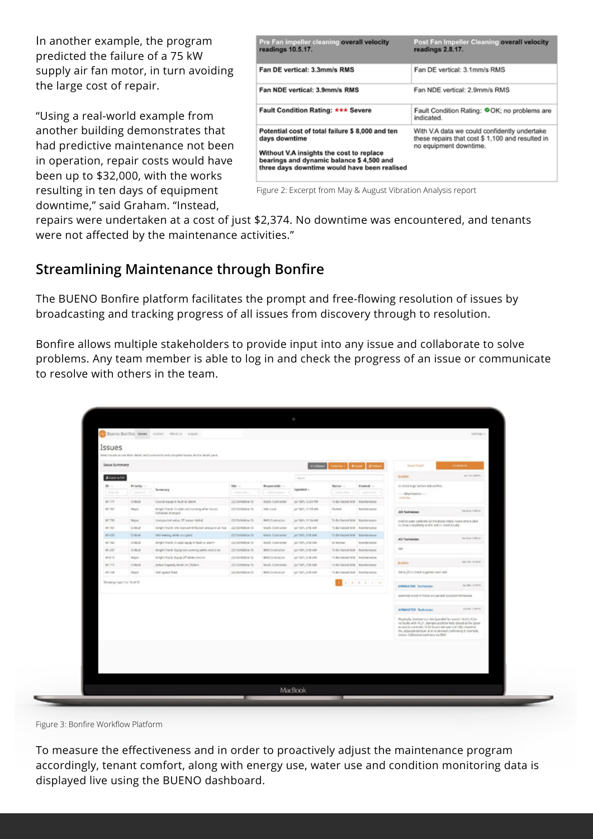In another example, the program predicted the failure of a 75 kW supply air fan motor, in turn avoiding the large cost of repair.

"Using a real-world example from another building demonstrates that had predictive maintenance not been in operation, repair costs would have been up to \$32,000, with the works resulting in ten days of equipment downtime," said Graham. "Instead,

| Pre Fan impeller cleaning overall velocity<br>readings 10.5.17.                                                                                                                                          | Post Fan Impeller Cleaning overall velocity<br>readings 2.8.17.                                                            |
|----------------------------------------------------------------------------------------------------------------------------------------------------------------------------------------------------------|----------------------------------------------------------------------------------------------------------------------------|
| Fan DE vertical: 3.3mm/s RMS                                                                                                                                                                             | Fan DE vertical: 3.1mm/s RMS                                                                                               |
| Fan NDE vertical: 3.9mm/s RMS                                                                                                                                                                            | Fan NDE vertical: 2.9mm/s RMS                                                                                              |
| <b>Fault Condition Rating: *** Severe</b>                                                                                                                                                                | Fault Condition Rating: OOK; no problems are<br>indicated.                                                                 |
| Potential cost of total failure \$8,000 and ten<br>days downtime<br>Without V.A insights the cost to replace<br>bearings and dynamic balance \$4,500 and<br>three days downtime would have been realised | With V.A data we could confidently undertake<br>these repairs that cost \$ 1,100 and resulted in<br>no equipment downtime. |

Figure 2: Excerpt from May & August Vibration Analysis report

repairs were undertaken at a cost of just \$2,374. No downtime was encountered, and tenants were not affected by the maintenance activities."

#### **Streamlining Maintenance through Bonfire**

The BUENO Bonfire platform facilitates the prompt and free-flowing resolution of issues by broadcasting and tracking progress of all issues from discovery through to resolution.

Bonfire allows multiple stakeholders to provide input into any issue and collaborate to solve problems. Any team member is able to log in and check the progress of an issue or communicate to resolve with others in the team.

| Issue Summary              |                          |                                                                     |                    |                                  |                     | <b>KOSpe Chemix Boxer Distust</b>     |                            |                                                                                                                                                                                                                                                                                                  |                               |
|----------------------------|--------------------------|---------------------------------------------------------------------|--------------------|----------------------------------|---------------------|---------------------------------------|----------------------------|--------------------------------------------------------------------------------------------------------------------------------------------------------------------------------------------------------------------------------------------------------------------------------------------------|-------------------------------|
| <b>Alleens Civ.</b>        |                          |                                                                     |                    |                                  | Search              |                                       |                            | <b>BVEMO</b>                                                                                                                                                                                                                                                                                     | Jan 110, 128 PM               |
| $10 -$<br>Dram on          | Priority -<br>-Skind Pri | Summary                                                             | 58x<br>beloit site | Responsible --<br>Linker Angeler | Updated -           | Startus -<br>perfect show 1991        | Context -<br>1 selection 1 | to check logic before AM verifies.<br>- Attachments ---                                                                                                                                                                                                                                          |                               |
| <b>KR-275</b>              | <b>Critical</b>          | Crucial equip in fault or planm                                     | 222 Exhibition St. | Mech. Contractor                 | Jul 18th, 12:04 PM  | To Be Raised Mild Maintenance         |                            | <b>Holland</b>                                                                                                                                                                                                                                                                                   |                               |
| 45-747                     | Major                    | Knight Prack: Cruckel unit manning after hours:<br>Schedule changed | 312 Debitation St. | Site Local                       | Jul 1801, 11:59 AM  | Parliad                               | <b>Maintenance</b>         | <b>JOI Technician</b>                                                                                                                                                                                                                                                                            | Tex Direct 19,000 cm          |
| 49.035                     | Major                    | Untapected value 27 atess: failed                                   | 222 Exhibition St. | BMS Contractor                   | Jul 18th, 11:34 AM  | To Be Raised MM Blaintenance          |                            | tried to auto-calibrate all the boxes listed. None where able                                                                                                                                                                                                                                    |                               |
| 82-241                     | <b>Critical</b>          | stright Arank: VAV starved while SAF pressure at man                | 222 Exhibition St. | Mach. Contractor                 | Jul 130's 216 AM    | To the Raissed Mild   Illusingenumcal |                            | to close completely and 6.4M to check booky.                                                                                                                                                                                                                                                     |                               |
| <b>KF-4Th</b>              | Critical                 | tato teaking while nonupled.                                        | 222 Exhibition St. | Meth. Contractor                 | Jul 13th, 218 AM    | To the Racord Mild - Maintenance      |                            | <b>JCY Tochekkan</b>                                                                                                                                                                                                                                                                             | <b>Real Edward FR-FREADER</b> |
| 12-741                     | <b>Critical</b>          | knight hank: Cruskel equip in fault or alarm.                       | 222 Exhibition St. | Mech. Contractor                 | (all 130's 2.10 AM) | in linker                             | Maintenance                |                                                                                                                                                                                                                                                                                                  |                               |
| $15 - 437$                 | Critical                 | Knight Frank: Equip not running while credits on                    | 322 Exhibition St. | BMS Contractor                   | Jul 13th, 218 AM    | To the Raissed Mild - Maintenance     |                            | AM                                                                                                                                                                                                                                                                                               |                               |
| 62-510                     | Major                    | Kinght Pourtk, Brazile off while cred on                            | 222 Exhibition St. | BMS Contractor                   | Jul 130's 2.18 AM   | To the Raissed MIM Brainberlander     |                            |                                                                                                                                                                                                                                                                                                  | Warriorn Scheden              |
| 49.711                     | Critical                 | Active Copacity limits on Chilers                                   | 222 Exhibition St. | Mech. Contractor                 | Jul 13th, 216 AM    | To die Raised MM Nisintensnor         |                            | <b>BUENO</b>                                                                                                                                                                                                                                                                                     |                               |
| 49-728                     | Majar                    | Wild speed fixed                                                    | 222 Britisher St.  | <b>BMS CORPORTION</b>            | Jul 130's 218 AM    | To the Ranced MrsF Braintenance       |                            | AM & (Clin) check to gether ment sluit.                                                                                                                                                                                                                                                          |                               |
| Showing roan 1 to 18 of 57 |                          |                                                                     |                    |                                  |                     |                                       | 3.14.3.14.34               | AMMANTER Technician                                                                                                                                                                                                                                                                              | Ar BA LISTS                   |
|                            |                          |                                                                     |                    |                                  |                     |                                       |                            | awarene most of these are parallel assisted vitataway.                                                                                                                                                                                                                                           |                               |
|                            |                          |                                                                     |                    |                                  |                     |                                       |                            | AURANASTER Technician                                                                                                                                                                                                                                                                            | sum izmrv.                    |
|                            |                          |                                                                     |                    |                                  |                     |                                       |                            | Myskally checked out you'garailed fan assist) 16.21/16.34.<br>no faults with 16.21, damper position fully closed at 0% (poor<br>access to controllo! 15.34 found damper not fully closed at<br>(m. adjusted demper and re-stroked confirming it now fully)<br>doses. Califasted each box via DMS |                               |

Figure 3: Bonfire Workflow Platform

To measure the effectiveness and in order to proactively adjust the maintenance program accordingly, tenant comfort, along with energy use, water use and condition monitoring data is displayed live using the BUENO dashboard.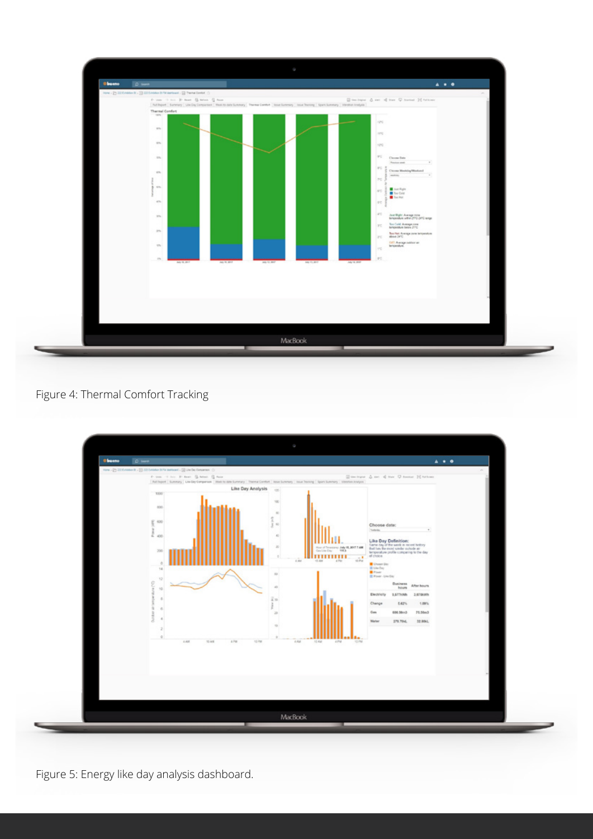

Figure 4: Thermal Comfort Tracking